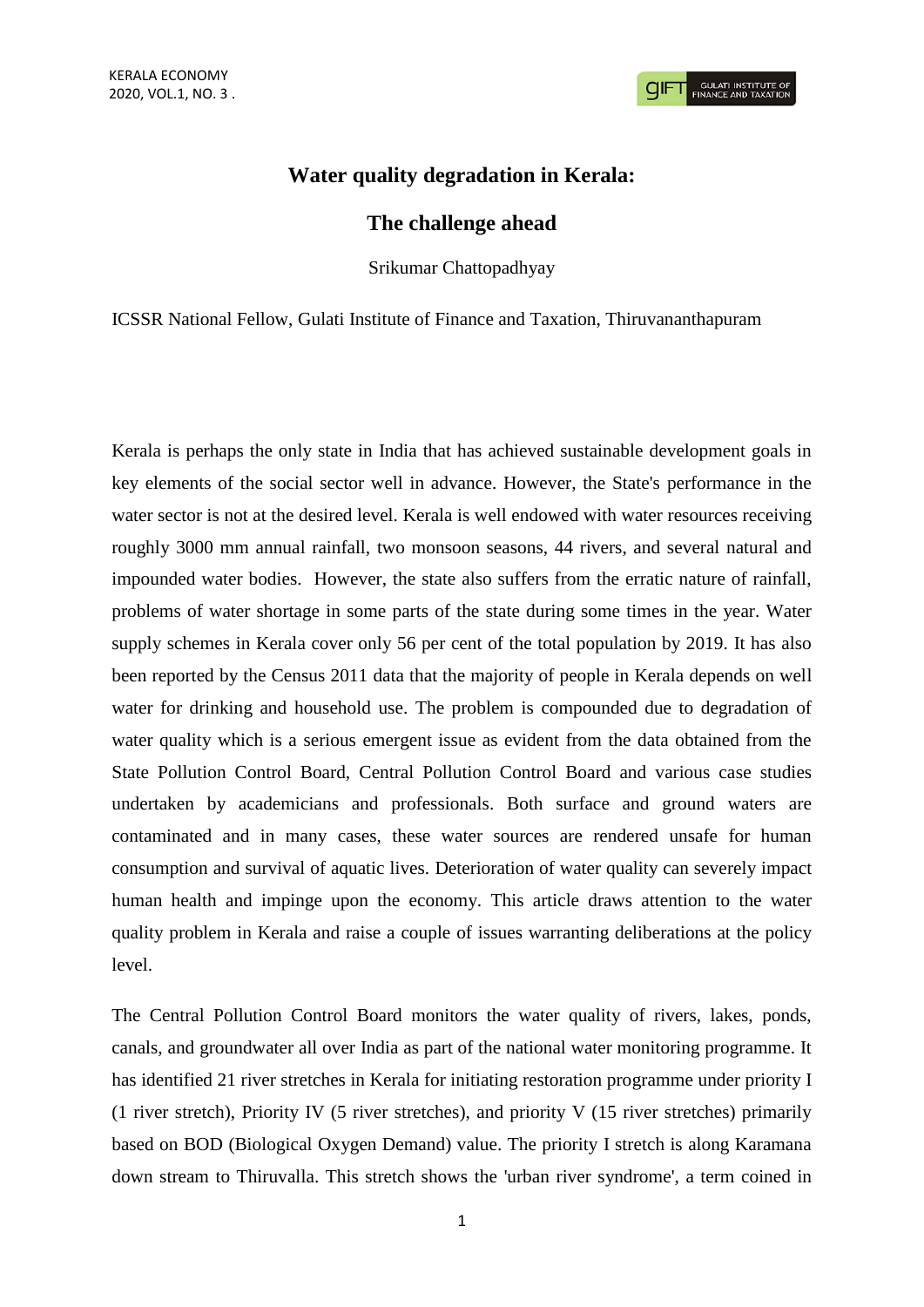## **Water quality degradation in Kerala:**

## **The challenge ahead**

Srikumar Chattopadhyay

ICSSR National Fellow, Gulati Institute of Finance and Taxation, Thiruvananthapuram

Kerala is perhaps the only state in India that has achieved sustainable development goals in key elements of the social sector well in advance. However, the State's performance in the water sector is not at the desired level. Kerala is well endowed with water resources receiving roughly 3000 mm annual rainfall, two monsoon seasons, 44 rivers, and several natural and impounded water bodies. However, the state also suffers from the erratic nature of rainfall, problems of water shortage in some parts of the state during some times in the year. Water supply schemes in Kerala cover only 56 per cent of the total population by 2019. It has also been reported by the Census 2011 data that the majority of people in Kerala depends on well water for drinking and household use. The problem is compounded due to degradation of water quality which is a serious emergent issue as evident from the data obtained from the State Pollution Control Board, Central Pollution Control Board and various case studies undertaken by academicians and professionals. Both surface and ground waters are contaminated and in many cases, these water sources are rendered unsafe for human consumption and survival of aquatic lives. Deterioration of water quality can severely impact human health and impinge upon the economy. This article draws attention to the water quality problem in Kerala and raise a couple of issues warranting deliberations at the policy level.

The Central Pollution Control Board monitors the water quality of rivers, lakes, ponds, canals, and groundwater all over India as part of the national water monitoring programme. It has identified 21 river stretches in Kerala for initiating restoration programme under priority I (1 river stretch), Priority IV (5 river stretches), and priority V (15 river stretches) primarily based on BOD (Biological Oxygen Demand) value. The priority I stretch is along Karamana down stream to Thiruvalla. This stretch shows the 'urban river syndrome', a term coined in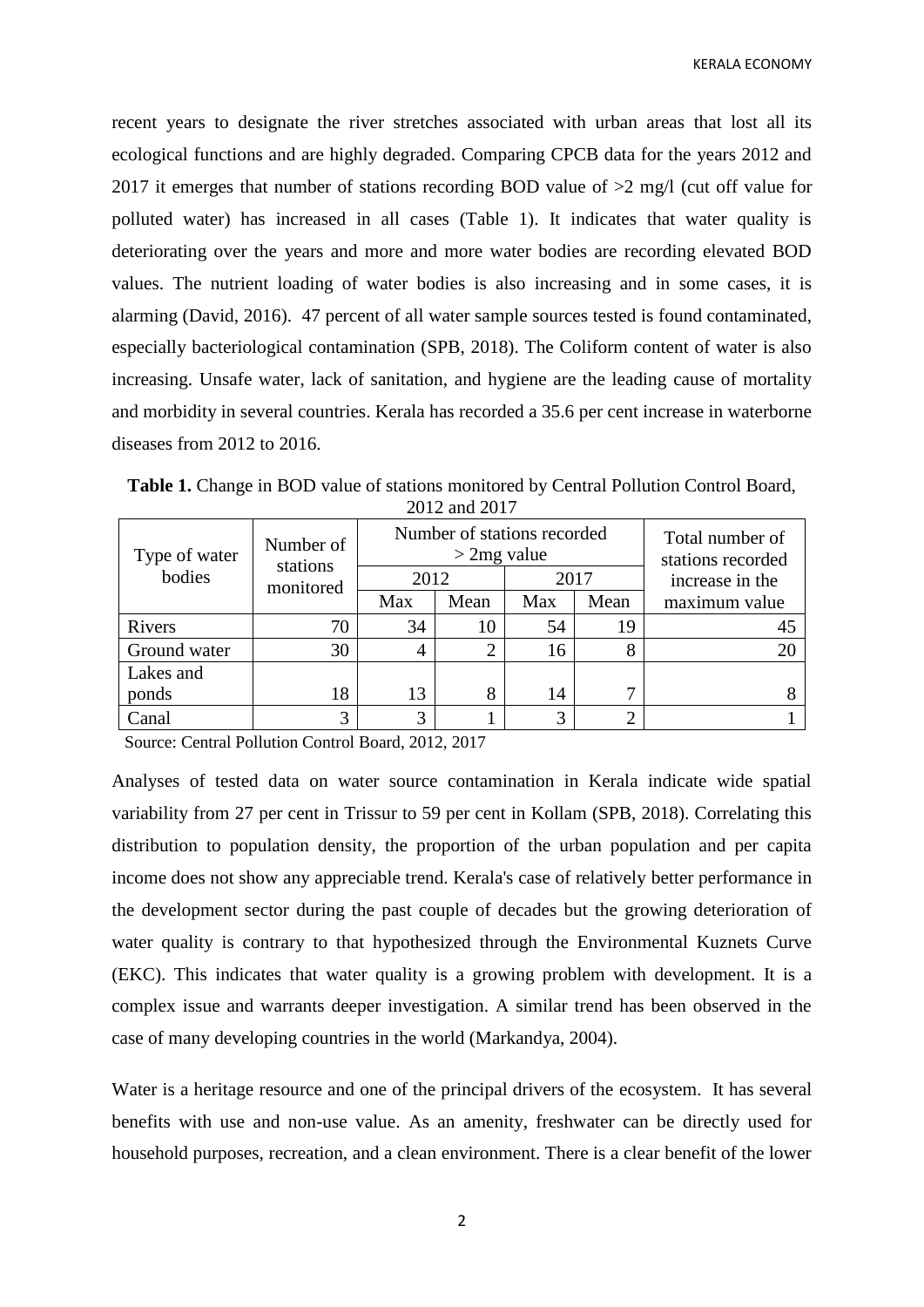recent years to designate the river stretches associated with urban areas that lost all its ecological functions and are highly degraded. Comparing CPCB data for the years 2012 and 2017 it emerges that number of stations recording BOD value of >2 mg/l (cut off value for polluted water) has increased in all cases (Table 1). It indicates that water quality is deteriorating over the years and more and more water bodies are recording elevated BOD values. The nutrient loading of water bodies is also increasing and in some cases, it is alarming (David, 2016). 47 percent of all water sample sources tested is found contaminated, especially bacteriological contamination (SPB, 2018). The Coliform content of water is also increasing. Unsafe water, lack of sanitation, and hygiene are the leading cause of mortality and morbidity in several countries. Kerala has recorded a 35.6 per cent increase in waterborne diseases from 2012 to 2016.

**Table 1.** Change in BOD value of stations monitored by Central Pollution Control Board, 2012 and 2017

| Type of water<br>bodies | Number of<br>stations<br>monitored | Number of stations recorded<br>$>$ 2mg value |      |      |      | Total number of<br>stations recorded |
|-------------------------|------------------------------------|----------------------------------------------|------|------|------|--------------------------------------|
|                         |                                    | 2012                                         |      | 2017 |      | increase in the                      |
|                         |                                    | Max                                          | Mean | Max  | Mean | maximum value                        |
| Rivers                  | 70                                 | 34                                           | 10   | 54   | 19   |                                      |
| Ground water            | 30                                 |                                              |      | 16   |      |                                      |
| Lakes and               |                                    |                                              |      |      |      |                                      |
| ponds                   | 18                                 | 13                                           | 8    | 14   |      |                                      |
| Canal                   | 3                                  |                                              |      | 3    | ◠    |                                      |

Source: Central Pollution Control Board, 2012, 2017

Analyses of tested data on water source contamination in Kerala indicate wide spatial variability from 27 per cent in Trissur to 59 per cent in Kollam (SPB, 2018). Correlating this distribution to population density, the proportion of the urban population and per capita income does not show any appreciable trend. Kerala's case of relatively better performance in the development sector during the past couple of decades but the growing deterioration of water quality is contrary to that hypothesized through the Environmental Kuznets Curve (EKC). This indicates that water quality is a growing problem with development. It is a complex issue and warrants deeper investigation. A similar trend has been observed in the case of many developing countries in the world (Markandya, 2004).

Water is a heritage resource and one of the principal drivers of the ecosystem. It has several benefits with use and non-use value. As an amenity, freshwater can be directly used for household purposes, recreation, and a clean environment. There is a clear benefit of the lower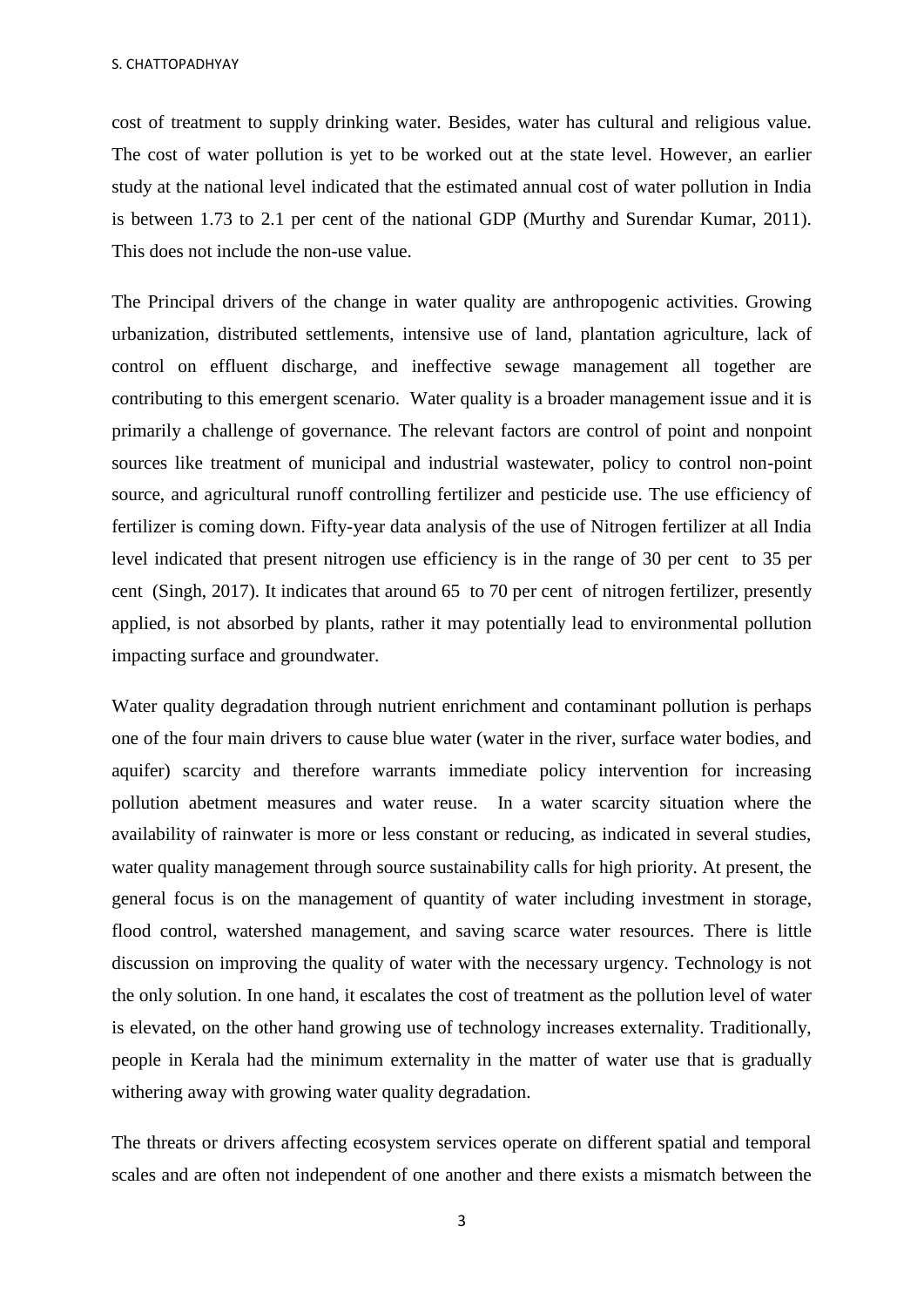cost of treatment to supply drinking water. Besides, water has cultural and religious value. The cost of water pollution is yet to be worked out at the state level. However, an earlier study at the national level indicated that the estimated annual cost of water pollution in India is between 1.73 to 2.1 per cent of the national GDP (Murthy and Surendar Kumar, 2011). This does not include the non-use value.

The Principal drivers of the change in water quality are anthropogenic activities. Growing urbanization, distributed settlements, intensive use of land, plantation agriculture, lack of control on effluent discharge, and ineffective sewage management all together are contributing to this emergent scenario. Water quality is a broader management issue and it is primarily a challenge of governance. The relevant factors are control of point and nonpoint sources like treatment of municipal and industrial wastewater, policy to control non-point source, and agricultural runoff controlling fertilizer and pesticide use. The use efficiency of fertilizer is coming down. Fifty-year data analysis of the use of Nitrogen fertilizer at all India level indicated that present nitrogen use efficiency is in the range of 30 per cent to 35 per cent (Singh, 2017). It indicates that around 65 to 70 per cent of nitrogen fertilizer, presently applied, is not absorbed by plants, rather it may potentially lead to environmental pollution impacting surface and groundwater.

Water quality degradation through nutrient enrichment and contaminant pollution is perhaps one of the four main drivers to cause blue water (water in the river, surface water bodies, and aquifer) scarcity and therefore warrants immediate policy intervention for increasing pollution abetment measures and water reuse. In a water scarcity situation where the availability of rainwater is more or less constant or reducing, as indicated in several studies, water quality management through source sustainability calls for high priority. At present, the general focus is on the management of quantity of water including investment in storage, flood control, watershed management, and saving scarce water resources. There is little discussion on improving the quality of water with the necessary urgency. Technology is not the only solution. In one hand, it escalates the cost of treatment as the pollution level of water is elevated, on the other hand growing use of technology increases externality. Traditionally, people in Kerala had the minimum externality in the matter of water use that is gradually withering away with growing water quality degradation.

The threats or drivers affecting ecosystem services operate on different spatial and temporal scales and are often not independent of one another and there exists a mismatch between the